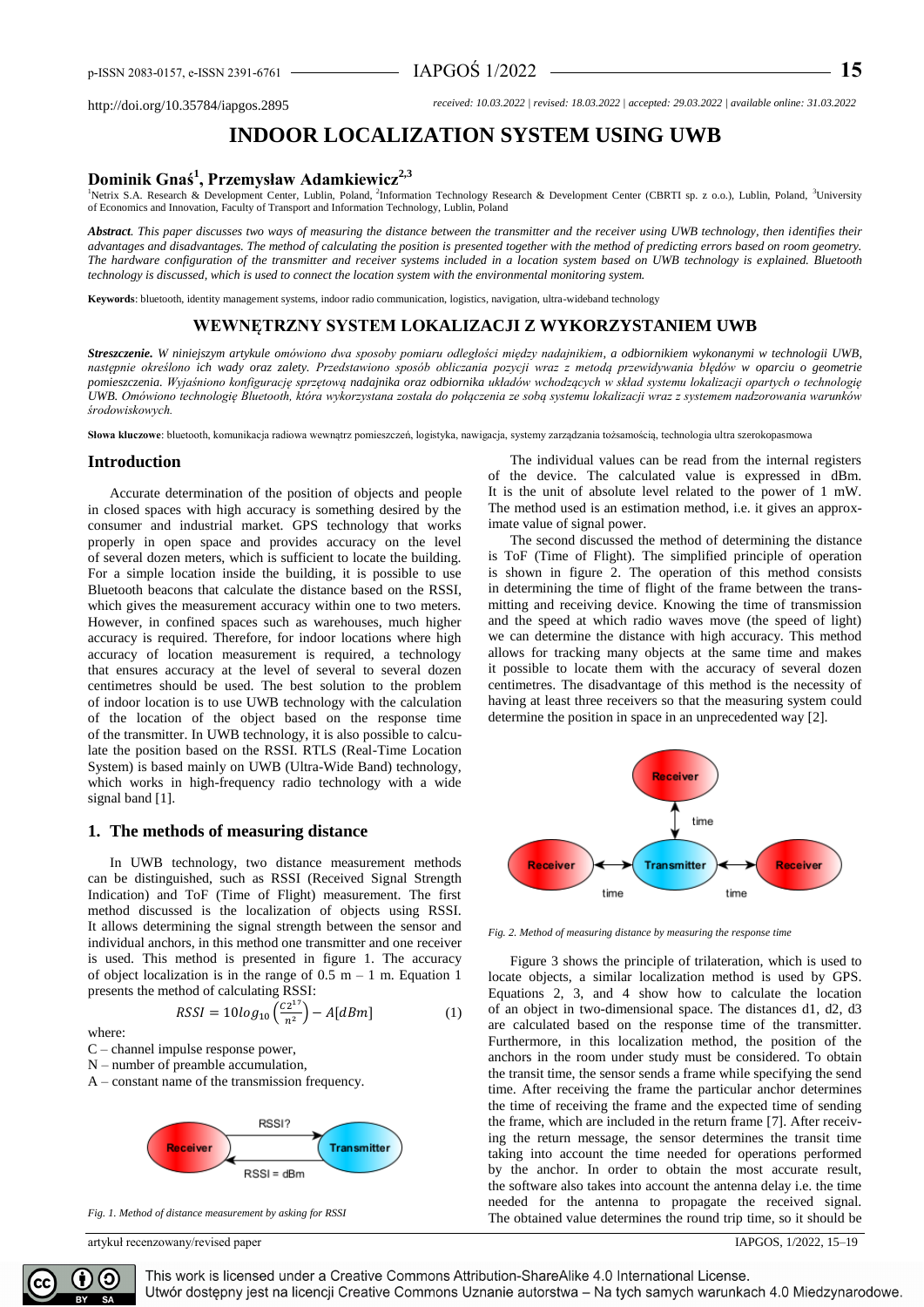http://doi.org/10.35784/iapgos.2895 *received: 10.03.2022 | revised: 18.03.2022 | accepted: 29.03.2022 | available online: 31.03.2022*

# **INDOOR LOCALIZATION SYSTEM USING UWB**

## **Dominik Gnaś<sup>1</sup> , Przemysław Adamkiewicz2,3**

<sup>1</sup>Netrix S.A. Research & Development Center, Lublin, Poland, <sup>2</sup>Information Technology Research & Development Center (CBRTI sp. z o.o.), Lublin, Poland, <sup>3</sup>University of Economics and Innovation, Faculty of Transport and Information Technology, Lublin, Poland

*Abstract. This paper discusses two ways of measuring the distance between the transmitter and the receiver using UWB technology, then identifies their advantages and disadvantages. The method of calculating the position is presented together with the method of predicting errors based on room geometry. The hardware configuration of the transmitter and receiver systems included in a location system based on UWB technology is explained. Bluetooth technology is discussed, which is used to connect the location system with the environmental monitoring system.*

**Keywords**: bluetooth, identity management systems, indoor radio communication, logistics, navigation, ultra-wideband technology

### **WEWNĘTRZNY SYSTEM LOKALIZACJI Z WYKORZYSTANIEM UWB**

*Streszczenie. W niniejszym artykule omówiono dwa sposoby pomiaru odległości między nadajnikiem, a odbiornikiem wykonanymi w technologii UWB, następnie określono ich wady oraz zalety. Przedstawiono sposób obliczania pozycji wraz z metodą przewidywania błędów w oparciu o geometrie pomieszczenia. Wyjaśniono konfigurację sprzętową nadajnika oraz odbiornika układów wchodzących w skład systemu lokalizacji opartych o technologię UWB. Omówiono technologię Bluetooth, która wykorzystana została do połączenia ze sobą systemu lokalizacji wraz z systemem nadzorowania warunków środowiskowych.*

**Słowa kluczowe**: bluetooth, komunikacja radiowa wewnątrz pomieszczeń, logistyka, nawigacja, systemy zarządzania tożsamością, technologia ultra szerokopasmowa

#### **Introduction**

Accurate determination of the position of objects and people in closed spaces with high accuracy is something desired by the consumer and industrial market. GPS technology that works properly in open space and provides accuracy on the level of several dozen meters, which is sufficient to locate the building. For a simple location inside the building, it is possible to use Bluetooth beacons that calculate the distance based on the RSSI, which gives the measurement accuracy within one to two meters. However, in confined spaces such as warehouses, much higher accuracy is required. Therefore, for indoor locations where high accuracy of location measurement is required, a technology that ensures accuracy at the level of several to several dozen centimetres should be used. The best solution to the problem of indoor location is to use UWB technology with the calculation of the location of the object based on the response time of the transmitter. In UWB technology, it is also possible to calculate the position based on the RSSI. RTLS (Real-Time Location System) is based mainly on UWB (Ultra-Wide Band) technology, which works in high-frequency radio technology with a wide signal band [1].

#### **1. The methods of measuring distance**

In UWB technology, two distance measurement methods can be distinguished, such as RSSI (Received Signal Strength Indication) and ToF (Time of Flight) measurement. The first method discussed is the localization of objects using RSSI. It allows determining the signal strength between the sensor and individual anchors, in this method one transmitter and one receiver is used. This method is presented in figure 1. The accuracy of object localization is in the range of  $0.5$  m  $-1$  m. Equation 1 presents the method of calculating RSSI:

> $RSSI = 10log_{10} \left( \frac{C2^{17}}{n^2} \right)$  $\left(\frac{2}{n^2}\right) - A[dBm]$  (1)

C – channel impulse response power,

where:

N – number of preamble accumulation,

A – constant name of the transmission frequency.



*Fig. 1. Method of distance measurement by asking for RSSI*

artykuł recenzowany/revised paper IAPGOS, 1/2022, 15–19

The individual values can be read from the internal registers of the device. The calculated value is expressed in dBm. It is the unit of absolute level related to the power of 1 mW. The method used is an estimation method, i.e. it gives an approximate value of signal power.

The second discussed the method of determining the distance is ToF (Time of Flight). The simplified principle of operation is shown in figure 2. The operation of this method consists in determining the time of flight of the frame between the transmitting and receiving device. Knowing the time of transmission and the speed at which radio waves move (the speed of light) we can determine the distance with high accuracy. This method allows for tracking many objects at the same time and makes it possible to locate them with the accuracy of several dozen centimetres. The disadvantage of this method is the necessity of having at least three receivers so that the measuring system could determine the position in space in an unprecedented way [2].



*Fig. 2. Method of measuring distance by measuring the response time*

Figure 3 shows the principle of trilateration, which is used to locate objects, a similar localization method is used by GPS. Equations 2, 3, and 4 show how to calculate the location of an object in two-dimensional space. The distances d1, d2, d3 are calculated based on the response time of the transmitter. Furthermore, in this localization method, the position of the anchors in the room under study must be considered. To obtain the transit time, the sensor sends a frame while specifying the send time. After receiving the frame the particular anchor determines the time of receiving the frame and the expected time of sending the frame, which are included in the return frame [7]. After receiving the return message, the sensor determines the transit time taking into account the time needed for operations performed by the anchor. In order to obtain the most accurate result, the software also takes into account the antenna delay i.e. the time needed for the antenna to propagate the received signal. The obtained value determines the round trip time, so it should be

This work is licensed under a Creative Commons Attribution-ShareAlike 4.0 International License. Utwór dostępny jest na licencji Creative Commons Uznanie autorstwa – Na tych samych warunkach 4.0 Miedzynarodowe.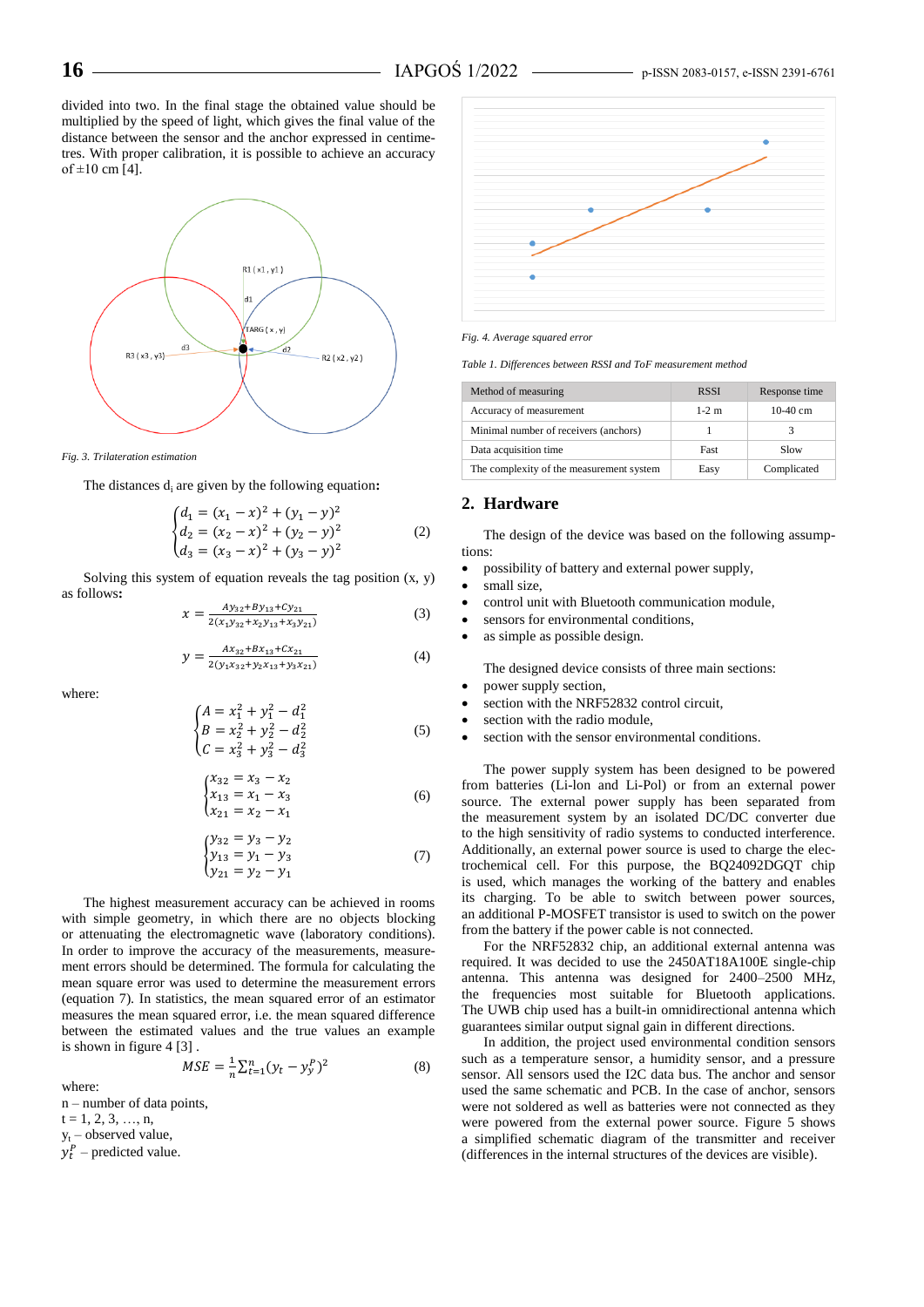divided into two. In the final stage the obtained value should be multiplied by the speed of light, which gives the final value of the distance between the sensor and the anchor expressed in centimetres. With proper calibration, it is possible to achieve an accuracy of  $\pm 10$  cm [4].



*Fig. 3. Trilateration estimation*

The distances d<sub>i</sub> are given by the following equation:

$$
\begin{cases}\nd_1 = (x_1 - x)^2 + (y_1 - y)^2 \\
d_2 = (x_2 - x)^2 + (y_2 - y)^2 \\
d_3 = (x_3 - x)^2 + (y_3 - y)^2\n\end{cases}
$$
\n(2)

Solving this system of equation reveals the tag position  $(x, y)$ as follows**:**

$$
x = \frac{Ay_{32} + By_{13} + Cy_{21}}{2(x_1y_{32} + x_2y_{13} + x_3y_{21})}
$$
(3)

$$
y = \frac{Ax_{32} + Bx_{13} + Cx_{21}}{2(y_1x_{32} + y_2x_{13} + y_3x_{21})}
$$
(4)

where:

$$
\begin{cases}\nA = x_1^2 + y_1^2 - d_1^2 \\
B = x_2^2 + y_2^2 - d_2^2 \\
C = x_3^2 + y_3^2 - d_3^2\n\end{cases}
$$
\n(5)

$$
\begin{cases}\n x_{32} = x_3 - x_2 \\
 x_{13} = x_1 - x_3 \\
 x_{21} = x_2 - x_1\n\end{cases}
$$
\n(6)

$$
\begin{cases}\n y_{32} = y_3 - y_2 \\
 y_{13} = y_1 - y_3 \\
 y_{21} = y_2 - y_1\n\end{cases} (7)
$$

The highest measurement accuracy can be achieved in rooms with simple geometry, in which there are no objects blocking or attenuating the electromagnetic wave (laboratory conditions). In order to improve the accuracy of the measurements, measurement errors should be determined. The formula for calculating the mean square error was used to determine the measurement errors (equation 7). In statistics, the mean squared error of an estimator measures the mean squared error, i.e. the mean squared difference between the estimated values and the true values an example is shown in figure 4 [3] .

$$
MSE = \frac{1}{n} \sum_{t=1}^{n} (y_t - y_y^P)^2
$$
 (8)

where:

n – number of data points,

 $t = 1, 2, 3, ..., n$ ,

 $y_t$  – observed value,

 $y_t^P$  – predicted value.



*Fig. 4. Average squared error*

*Table 1. Differences between RSSI and ToF measurement method*

| Method of measuring                      | <b>RSSI</b> | Response time |
|------------------------------------------|-------------|---------------|
| Accuracy of measurement                  | $1-2$ m     | 10-40 cm      |
| Minimal number of receivers (anchors)    |             |               |
| Data acquisition time                    | Fast        | Slow          |
| The complexity of the measurement system | Easy        | Complicated   |

#### **2. Hardware**

The design of the device was based on the following assumptions:

- possibility of battery and external power supply,
- small size,
- control unit with Bluetooth communication module,
- sensors for environmental conditions,
- as simple as possible design.

The designed device consists of three main sections:

- power supply section,
- section with the NRF52832 control circuit,
- section with the radio module,
- section with the sensor environmental conditions.

The power supply system has been designed to be powered from batteries (Li-lon and Li-Pol) or from an external power source. The external power supply has been separated from the measurement system by an isolated DC/DC converter due to the high sensitivity of radio systems to conducted interference. Additionally, an external power source is used to charge the electrochemical cell. For this purpose, the BQ24092DGQT chip is used, which manages the working of the battery and enables its charging. To be able to switch between power sources, an additional P-MOSFET transistor is used to switch on the power from the battery if the power cable is not connected.

For the NRF52832 chip, an additional external antenna was required. It was decided to use the 2450AT18A100E single-chip antenna. This antenna was designed for 2400–2500 MHz, the frequencies most suitable for Bluetooth applications. The UWB chip used has a built-in omnidirectional antenna which guarantees similar output signal gain in different directions.

In addition, the project used environmental condition sensors such as a temperature sensor, a humidity sensor, and a pressure sensor. All sensors used the I2C data bus. The anchor and sensor used the same schematic and PCB. In the case of anchor, sensors were not soldered as well as batteries were not connected as they were powered from the external power source. Figure 5 shows a simplified schematic diagram of the transmitter and receiver (differences in the internal structures of the devices are visible).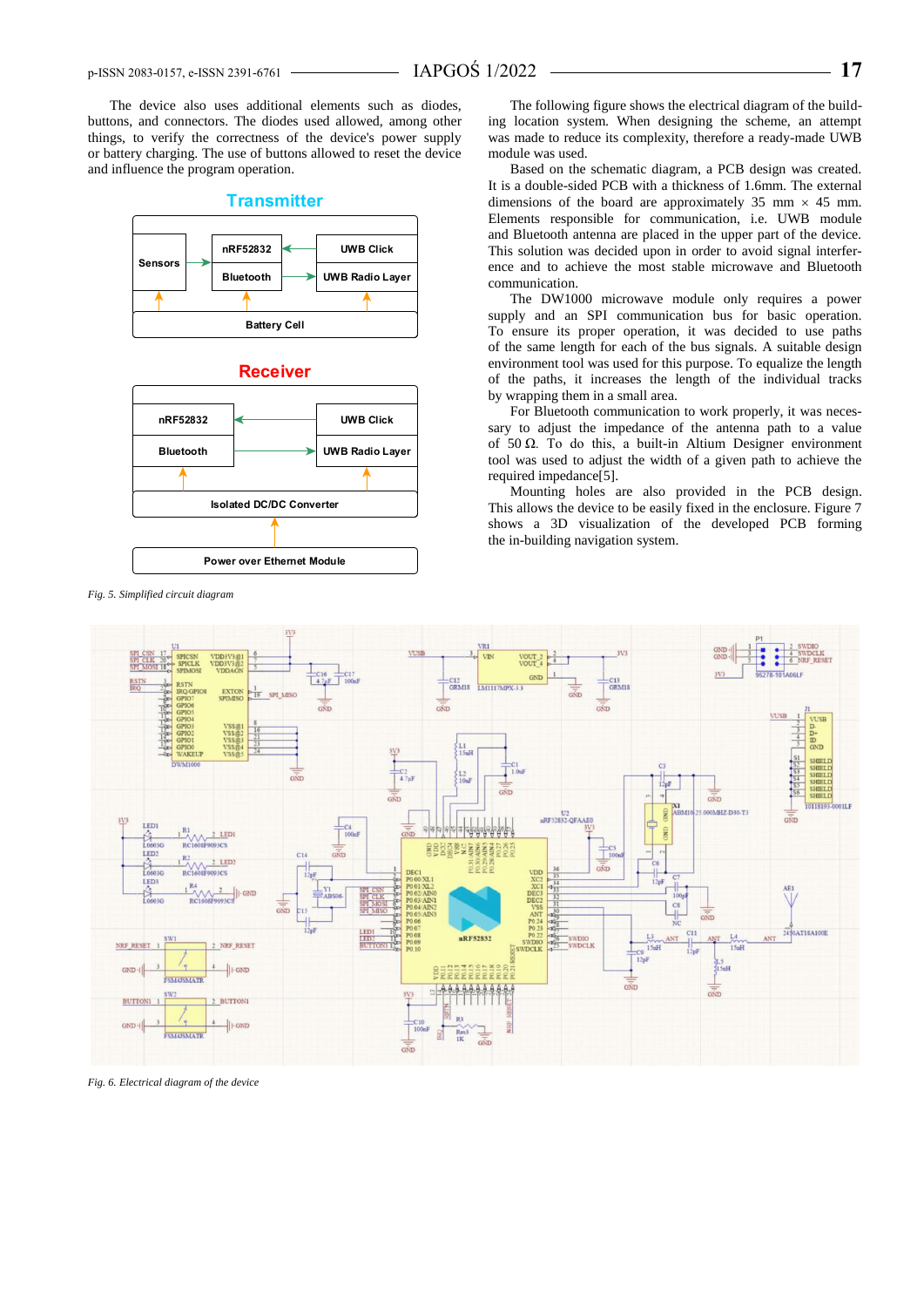The device also uses additional elements such as diodes, buttons, and connectors. The diodes used allowed, among other things, to verify the correctness of the device's power supply or battery charging. The use of buttons allowed to reset the device and influence the program operation.





*Fig. 5. Simplified circuit diagram*

The following figure shows the electrical diagram of the building location system. When designing the scheme, an attempt was made to reduce its complexity, therefore a ready-made UWB module was used.

Based on the schematic diagram, a PCB design was created. It is a double-sided PCB with a thickness of 1.6mm. The external dimensions of the board are approximately 35 mm  $\times$  45 mm. Elements responsible for communication, i.e. UWB module and Bluetooth antenna are placed in the upper part of the device. This solution was decided upon in order to avoid signal interference and to achieve the most stable microwave and Bluetooth communication.

The DW1000 microwave module only requires a power supply and an SPI communication bus for basic operation. To ensure its proper operation, it was decided to use paths of the same length for each of the bus signals. A suitable design environment tool was used for this purpose. To equalize the length of the paths, it increases the length of the individual tracks by wrapping them in a small area.

For Bluetooth communication to work properly, it was necessary to adjust the impedance of the antenna path to a value of 50 Ω. To do this, a built-in Altium Designer environment tool was used to adjust the width of a given path to achieve the required impedance[5].

Mounting holes are also provided in the PCB design. This allows the device to be easily fixed in the enclosure. Figure 7 shows a 3D visualization of the developed PCB forming the in-building navigation system.



*Fig. 6. Electrical diagram of the device*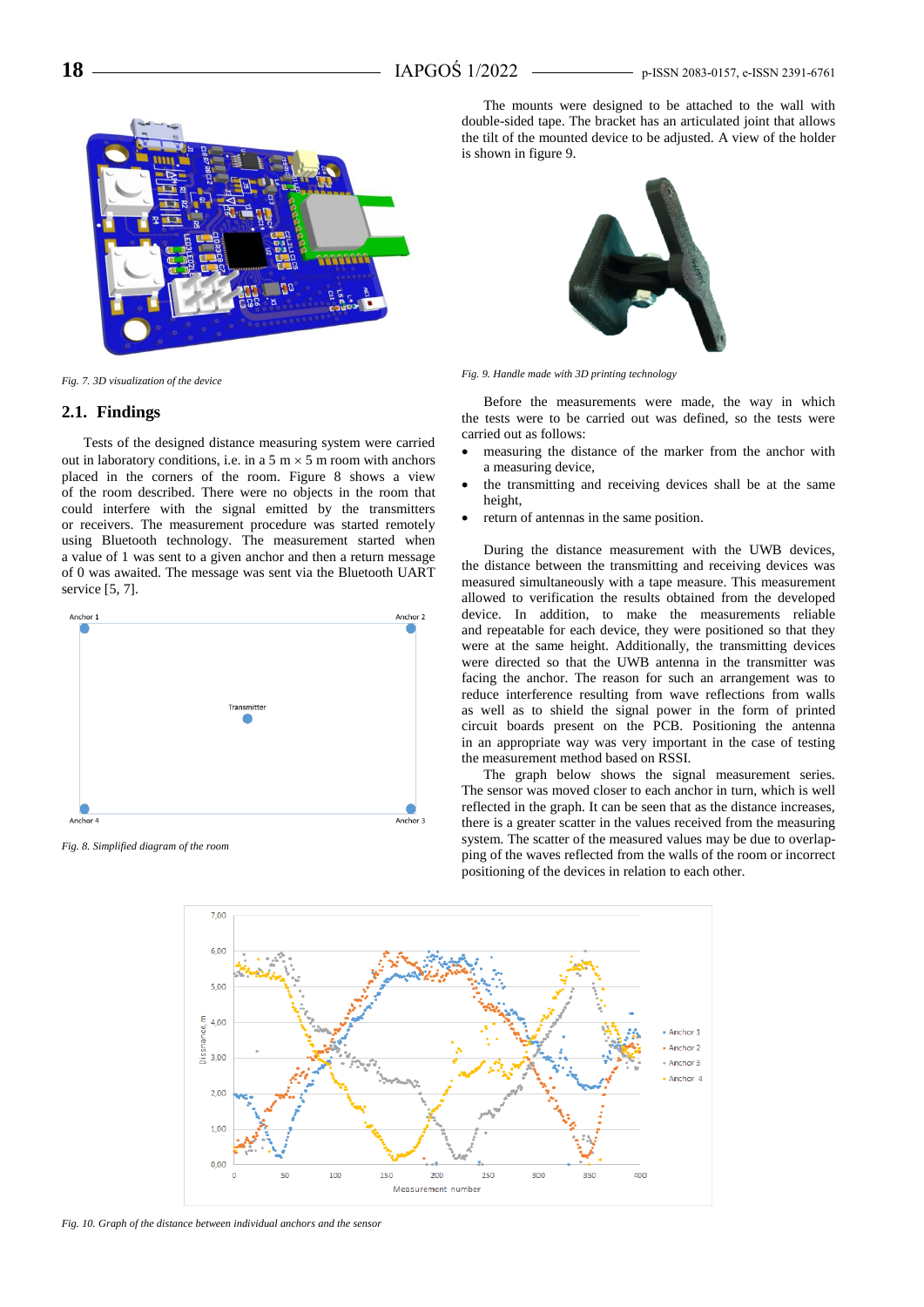

*Fig. 7. 3D visualization of the device*

#### **2.1. Findings**

Tests of the designed distance measuring system were carried out in laboratory conditions, i.e. in a 5 m  $\times$  5 m room with anchors placed in the corners of the room. Figure 8 shows a view of the room described. There were no objects in the room that could interfere with the signal emitted by the transmitters or receivers. The measurement procedure was started remotely using Bluetooth technology. The measurement started when a value of 1 was sent to a given anchor and then a return message of 0 was awaited. The message was sent via the Bluetooth UART service [5, 7].



*Fig. 8. Simplified diagram of the room*

The mounts were designed to be attached to the wall with double-sided tape. The bracket has an articulated joint that allows the tilt of the mounted device to be adjusted. A view of the holder is shown in figure 9.



*Fig. 9. Handle made with 3D printing technology*

Before the measurements were made, the way in which the tests were to be carried out was defined, so the tests were carried out as follows:

- measuring the distance of the marker from the anchor with a measuring device,
- the transmitting and receiving devices shall be at the same height,
- return of antennas in the same position.

During the distance measurement with the UWB devices, the distance between the transmitting and receiving devices was measured simultaneously with a tape measure. This measurement allowed to verification the results obtained from the developed device. In addition, to make the measurements reliable and repeatable for each device, they were positioned so that they were at the same height. Additionally, the transmitting devices were directed so that the UWB antenna in the transmitter was facing the anchor. The reason for such an arrangement was to reduce interference resulting from wave reflections from walls as well as to shield the signal power in the form of printed circuit boards present on the PCB. Positioning the antenna in an appropriate way was very important in the case of testing the measurement method based on RSSI.

The graph below shows the signal measurement series. The sensor was moved closer to each anchor in turn, which is well reflected in the graph. It can be seen that as the distance increases, there is a greater scatter in the values received from the measuring system. The scatter of the measured values may be due to overlapping of the waves reflected from the walls of the room or incorrect positioning of the devices in relation to each other.



*Fig. 10. Graph of the distance between individual anchors and the sensor*